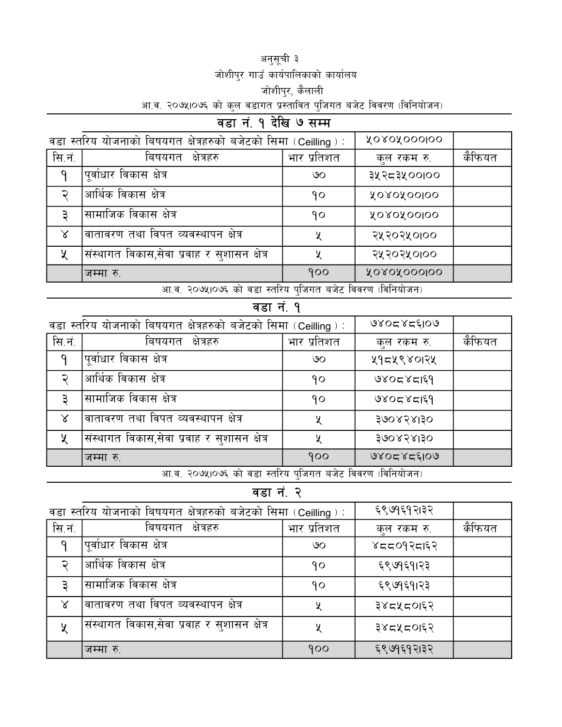#### अनुसूची ३ जोशीपुर गाउँ कार्यपालिकाको कार्यालय जोशीपुर, कैलाली <u>आ.व. २०७५।०७६ को कुल वडागत प्रस्तावित पुजिगत बजेट विवरण (विनियोजन)</u>

# वडा नं. १ देखि ७ सम्म

| वडा स्तरिय योजनाको बिषयगत क्षेत्रहरुको बजेटको सिमा (Ceilling): |                                             |                         | XOROXOOOIOO                         |        |
|----------------------------------------------------------------|---------------------------------------------|-------------------------|-------------------------------------|--------|
| सि.नं.                                                         | बिषयगत<br>क्षेत्रहरु                        | भार प्रतिशत             | कुल रकम रु.                         | कैफियत |
| q                                                              | <sup>।</sup> पूर्वाधार विकास क्षेत्र        | ७०                      | ३५२८३५००१००                         |        |
| ຸ                                                              | आर्थिक विकास क्षेत्र                        | १०                      | <b>YOROXOOIOO</b>                   |        |
| З                                                              | सामाजिक विकास क्षेत्र                       | ٩o                      | <b>YOROXOOIOO</b>                   |        |
| $\propto$                                                      | वातावरण तथा विपत व्यवस्थापन क्षेत्र         | X                       | २५२०२५०।००                          |        |
| ५                                                              | संस्थागत विकास,सेवा प्रवाह र सुशासन क्षेत्र | ५                       | २५२०२५०१००                          |        |
|                                                                | जम्मा रु.<br>$\sim$                         | 900<br>$\sim$<br>$\sim$ | ROROROOOIOO<br>$\sim$ $\sim$ $\sim$ |        |

आ.व. २०७५।०७६ को वडा स्तरिय पुजिगत बजेट विवरण (विनियोजन)

#### वडा $\vec{a}$ . १

| वडा स्तरिय योजनाको बिषयगत क्षेत्रहरुको बजेटको सिमा (Ceilling): |                                             |                         | 9805858109                         |        |
|----------------------------------------------------------------|---------------------------------------------|-------------------------|------------------------------------|--------|
| सि.नं.                                                         | बिषयगत<br>क्षेत्रहरु                        | भार प्रतिशत             | कुल रकम रु.                        | कैफियत |
| q                                                              | पूर्वाधार विकास क्षेत्र                     | ७०                      | ५१८५९४०१२५                         |        |
| ্                                                              | आर्थिक विकास क्षेत्र                        | ۹ο                      | 13128050                           |        |
| 3                                                              | सामाजिक विकास क्षेत्र                       | 9٥                      | 980585189                          |        |
| $\chi$                                                         | वातावरण तथा विपत व्यवस्थापन क्षेत्र         | ५                       | 300838130                          |        |
| ५                                                              | संस्थागत विकास,सेवा प्रवाह र सुशासन क्षेत्र | ५                       | 300838130                          |        |
|                                                                | जम्मा रु.<br>$\sim$                         | 900<br>$\sim$<br>$\sim$ | 9805858109<br>$\sim$ $\sim$ $\sim$ |        |

आ.व. २०७५।०७६ को वडा स्तरिय पुजिगत बजेट विवरण (विनियोजन)

वडा नं. २

| वडा स्तरिय योजनाको बिषयगत क्षेत्रहरुको बजेटको सिमा (Ceilling ) : |                                                          |             | ६९७१६१२।३२  |        |
|------------------------------------------------------------------|----------------------------------------------------------|-------------|-------------|--------|
| सि.नं.                                                           | बिषयगत<br>क्षेत्रहरु                                     | भार प्रतिशत | कुल रकम रु. | कैफियत |
| q                                                                | पूर्वाधार विकास क्षेत्र                                  | ७०          | ४८८०१२८।६२  |        |
| ົ                                                                | आर्थिक विकास क्षेत्र                                     | 9٥          | ६९७१६१।२३   |        |
| З                                                                | सामाजिक विकास क्षेत्र                                    | 9٥          | ६९७१६१।२३   |        |
| $\chi$                                                           | वातावरण तथा विपत व्यवस्थापन क्षेत्र                      | X           | ३४८५८०।६२   |        |
| ५                                                                | <sub>।</sub> संस्थागत विकास,सेवा प्रवाह र सुशासन क्षेत्र | X           | ३४८५८०।६२   |        |
|                                                                  | जम्मा रु                                                 | 900         | ६९७१६१२।३२  |        |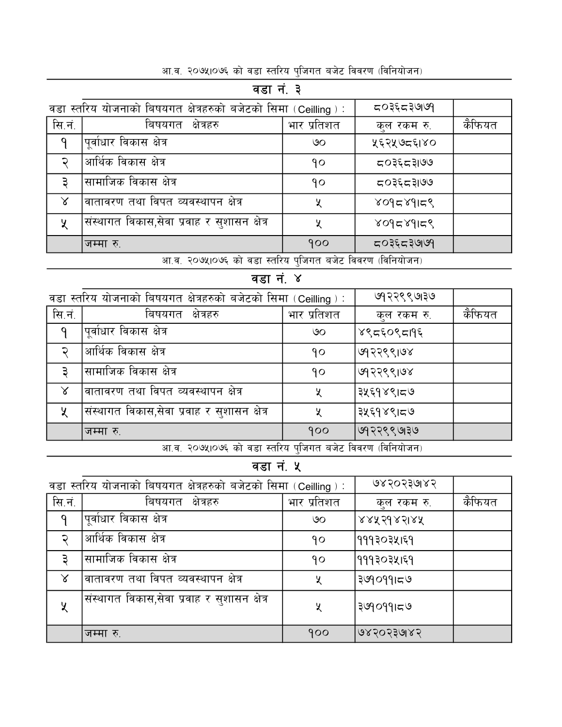| वडा स्तरिय योजनाको बिषयगत क्षेत्रहरुको बजेटको सिमा (Ceilling): |                                             |             | ८०३६८३७७१   |        |  |
|----------------------------------------------------------------|---------------------------------------------|-------------|-------------|--------|--|
| सि.नं.                                                         | बिषयगत<br>क्षेत्रहरु                        | भार प्रतिशत | कुल रकम रु. | कैफियत |  |
| $\mathsf{q}$                                                   | 'पूर्वाधार विकास क्षेत्र                    | ७०          | ५६२५७८६१४०  |        |  |
| ্                                                              | आर्थिक विकास क्षेत्र                        | १०          | ८०३६८३।७७   |        |  |
| З                                                              | सामाजिक विकास क्षेत्र                       | ۹٥          | ८०३६८३।७७   |        |  |
| $\chi$                                                         | ।वातावरण तथा विपत व्यवस्थापन क्षेत्र        | ५           | ४०१८४१।८९   |        |  |
| $\chi$                                                         | संस्थागत विकास,सेवा प्रवाह र सुशासन क्षेत्र | ५           | ४०१८४१।८९   |        |  |
|                                                                | जम्मा रु.                                   | 900         | ८०३६८३७७१   |        |  |
| ----------- <del>--</del> ----                                 |                                             |             |             |        |  |

### वडा नं. ३

#### <u>आ.व. २०७५।०७६ को वडा स्तरिय पुजिगत बजेट विवरण (विनियोजन)</u>

## $\overline{$ वडा नं. ४

| वडा स्तरिय योजनाको बिषयगत क्षेत्रहरुको बजेटको सिमा (Ceilling ) : |                                             |                             | ७१२९९७१७                      |        |
|------------------------------------------------------------------|---------------------------------------------|-----------------------------|-------------------------------|--------|
| सि.नं.                                                           | बिषयगत क्षेत्रहरु                           | भार प्रतिशत                 | कुल रकम रु.                   | कैफियत |
| $\mathsf{q}$                                                     | पूर्वाधार विकास क्षेत्र                     | ७०                          | ४९८६०९८19६                    |        |
| $\overline{\mathbf{v}}$                                          | आर्थिक विकास क्षेत्र                        | 90                          | ७१२९९।७४                      |        |
| З                                                                | ।सामाजिक विकास क्षेत्र                      | 90                          | । ७१२९९।७४                    |        |
| $\chi$                                                           | वातावरण तथा विपत व्यवस्थापन क्षेत्र         | X                           | ३५६१४९।८७                     |        |
| X.                                                               | संस्थागत विकास,सेवा प्रवाह र सुशासन क्षेत्र | ५                           | ३५६१४९।८७                     |        |
|                                                                  | जम्मा रु.<br>$\sim$                         | 900<br>$\sim$ $\sim$ $\sim$ | ७१२९९७।३७<br>$\sim$ 00 $\sim$ |        |

आ.व. २०७५।०७६ को वडा स्तरिय पुजिगत बजेट विवरण (विनियोजन)

### वडा नं. ५

| वडा स्तरिय योजनाको बिषयगत क्षेत्रहरुको बजेटको सिमा (Ceilling ) : |                                             |             | ७४२०२३७१४२  |        |
|------------------------------------------------------------------|---------------------------------------------|-------------|-------------|--------|
| सि.नं.                                                           | बिषयगत<br>क्षेत्रहरु                        | भार प्रतिशत | कुल रकम रु. | कैफियत |
| q                                                                | पूर्वाधार विकास क्षेत्र                     | ও০          | ४४५२१४२।४५  |        |
| ্                                                                | आर्थिक विकास क्षेत्र                        | १०          | १११३०३५।६१  |        |
| З                                                                | सामाजिक विकास क्षेत्र                       | 9٥          | १११३०३५।६१  |        |
| $\chi$                                                           | वातावरण तथा विपत व्यवस्थापन क्षेत्र         | ५           | ३७१०११।८७   |        |
| ५                                                                | संस्थागत विकास,सेवा प्रवाह र सुशासन क्षेत्र | ५           | ३७१०११।८७   |        |
|                                                                  | जम्मा रु.                                   | 900         | ७४२०२३७४२   |        |